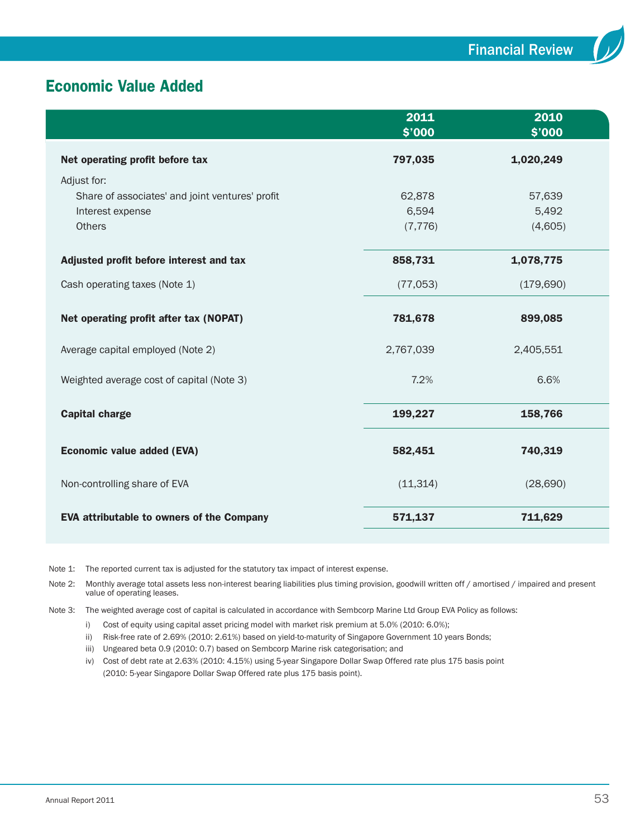# Economic Value Added

|                                                  | 2011<br>\$'000 | 2010<br>\$'000 |  |
|--------------------------------------------------|----------------|----------------|--|
| Net operating profit before tax                  | 797,035        | 1,020,249      |  |
| Adjust for:                                      |                |                |  |
| Share of associates' and joint ventures' profit  | 62,878         | 57,639         |  |
| Interest expense                                 | 6,594          | 5,492          |  |
| <b>Others</b>                                    | (7, 776)       | (4,605)        |  |
| Adjusted profit before interest and tax          | 858,731        | 1,078,775      |  |
| Cash operating taxes (Note 1)                    | (77,053)       | (179, 690)     |  |
| Net operating profit after tax (NOPAT)           | 781,678        | 899,085        |  |
| Average capital employed (Note 2)                | 2,767,039      | 2,405,551      |  |
| Weighted average cost of capital (Note 3)        | 7.2%           | 6.6%           |  |
| <b>Capital charge</b>                            | 199,227        | 158,766        |  |
| <b>Economic value added (EVA)</b>                | 582,451        | 740,319        |  |
| Non-controlling share of EVA                     | (11, 314)      | (28, 690)      |  |
| <b>EVA attributable to owners of the Company</b> | 571,137        | 711,629        |  |

Note 1: The reported current tax is adjusted for the statutory tax impact of interest expense.

Note 2: Monthly average total assets less non-interest bearing liabilities plus timing provision, goodwill written off / amortised / impaired and present value of operating leases.

Note 3: The weighted average cost of capital is calculated in accordance with Sembcorp Marine Ltd Group EVA Policy as follows:

i) Cost of equity using capital asset pricing model with market risk premium at 5.0% (2010: 6.0%);

ii) Risk-free rate of 2.69% (2010: 2.61%) based on yield-to-maturity of Singapore Government 10 years Bonds;

iii) Ungeared beta 0.9 (2010: 0.7) based on Sembcorp Marine risk categorisation; and

iv) Cost of debt rate at 2.63% (2010: 4.15%) using 5-year Singapore Dollar Swap Offered rate plus 175 basis point (2010: 5-year Singapore Dollar Swap Offered rate plus 175 basis point).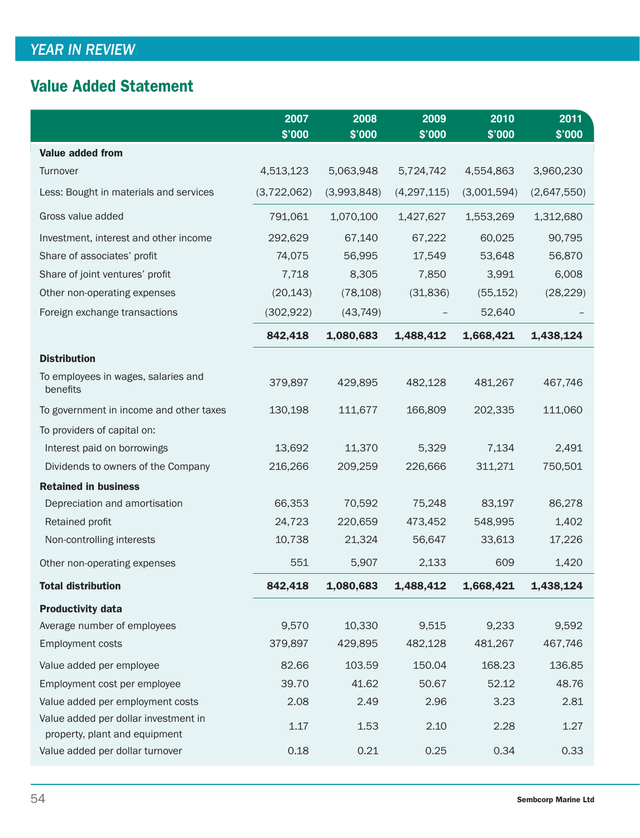# Value Added Statement

|                                                                       | 2007<br>\$'000 | 2008<br>\$'000 | 2009<br>\$'000 | 2010<br>\$'000 | 2011<br>\$'000 |
|-----------------------------------------------------------------------|----------------|----------------|----------------|----------------|----------------|
| <b>Value added from</b>                                               |                |                |                |                |                |
| Turnover                                                              | 4,513,123      | 5,063,948      | 5,724,742      | 4,554,863      | 3,960,230      |
| Less: Bought in materials and services                                | (3,722,062)    | (3,993,848)    | (4, 297, 115)  | (3,001,594)    | (2,647,550)    |
| Gross value added                                                     | 791,061        | 1,070,100      | 1,427,627      | 1,553,269      | 1,312,680      |
| Investment, interest and other income                                 | 292,629        | 67,140         | 67,222         | 60,025         | 90,795         |
| Share of associates' profit                                           | 74,075         | 56,995         | 17,549         | 53,648         | 56,870         |
| Share of joint ventures' profit                                       | 7,718          | 8,305          | 7,850          | 3,991          | 6,008          |
| Other non-operating expenses                                          | (20, 143)      | (78, 108)      | (31, 836)      | (55, 152)      | (28, 229)      |
| Foreign exchange transactions                                         | (302, 922)     | (43, 749)      |                | 52,640         |                |
|                                                                       | 842,418        | 1,080,683      | 1,488,412      | 1,668,421      | 1,438,124      |
| <b>Distribution</b>                                                   |                |                |                |                |                |
| To employees in wages, salaries and<br>benefits                       | 379,897        | 429,895        | 482,128        | 481,267        | 467,746        |
| To government in income and other taxes                               | 130,198        | 111,677        | 166,809        | 202,335        | 111,060        |
| To providers of capital on:                                           |                |                |                |                |                |
| Interest paid on borrowings                                           | 13,692         | 11,370         | 5,329          | 7,134          | 2,491          |
| Dividends to owners of the Company                                    | 216,266        | 209,259        | 226,666        | 311,271        | 750,501        |
| <b>Retained in business</b>                                           |                |                |                |                |                |
| Depreciation and amortisation                                         | 66,353         | 70,592         | 75,248         | 83,197         | 86,278         |
| Retained profit                                                       | 24,723         | 220,659        | 473,452        | 548,995        | 1,402          |
| Non-controlling interests                                             | 10,738         | 21,324         | 56,647         | 33,613         | 17,226         |
| Other non-operating expenses                                          | 551            | 5,907          | 2,133          | 609            | 1,420          |
| <b>Total distribution</b>                                             | 842,418        | 1,080,683      | 1,488,412      | 1,668,421      | 1,438,124      |
| <b>Productivity data</b>                                              |                |                |                |                |                |
| Average number of employees                                           | 9,570          | 10,330         | 9,515          | 9,233          | 9,592          |
| <b>Employment costs</b>                                               | 379,897        | 429,895        | 482,128        | 481,267        | 467,746        |
| Value added per employee                                              | 82.66          | 103.59         | 150.04         | 168.23         | 136.85         |
| Employment cost per employee                                          | 39.70          | 41.62          | 50.67          | 52.12          | 48.76          |
| Value added per employment costs                                      | 2.08           | 2.49           | 2.96           | 3.23           | 2.81           |
| Value added per dollar investment in<br>property, plant and equipment | 1.17           | 1.53           | 2.10           | 2.28           | 1.27           |
| Value added per dollar turnover                                       | 0.18           | 0.21           | 0.25           | 0.34           | 0.33           |